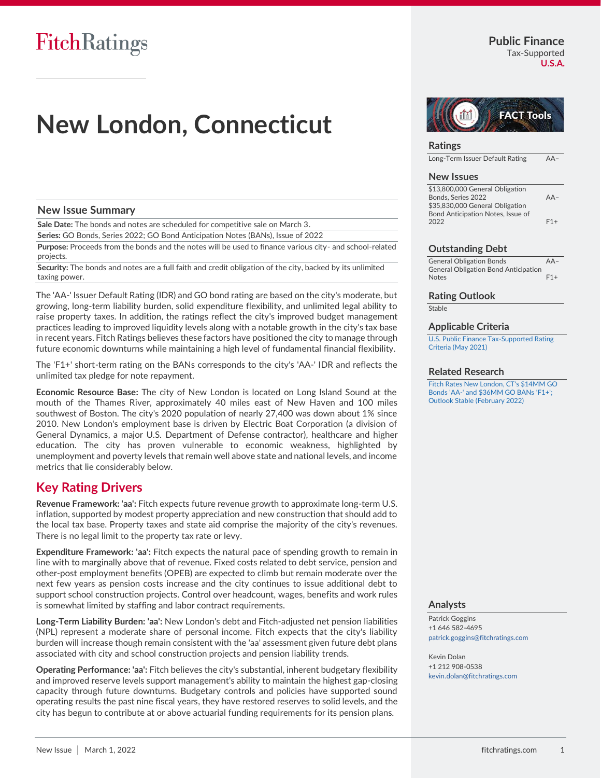# **New London, Connecticut**

# **New Issue Summary**

**Sale Date:** The bonds and notes are scheduled for competitive sale on March 3.

**Series:** GO Bonds, Series 2022; GO Bond Anticipation Notes (BANs), Issue of 2022

**Purpose:** Proceeds from the bonds and the notes will be used to finance various city- and school-related projects.

**Security:** The bonds and notes are a full faith and credit obligation of the city, backed by its unlimited taxing power.

The 'AA-' Issuer Default Rating (IDR) and GO bond rating are based on the city's moderate, but growing, long-term liability burden, solid expenditure flexibility, and unlimited legal ability to raise property taxes. In addition, the ratings reflect the city's improved budget management practices leading to improved liquidity levels along with a notable growth in the city's tax base in recent years. Fitch Ratings believes these factors have positioned the city to manage through future economic downturns while maintaining a high level of fundamental financial flexibility.

The 'F1+' short-term rating on the BANs corresponds to the city's 'AA-' IDR and reflects the unlimited tax pledge for note repayment.

**Economic Resource Base:** The city of New London is located on Long Island Sound at the mouth of the Thames River, approximately 40 miles east of New Haven and 100 miles southwest of Boston. The city's 2020 population of nearly 27,400 was down about 1% since 2010. New London's employment base is driven by Electric Boat Corporation (a division of General Dynamics, a major U.S. Department of Defense contractor), healthcare and higher education. The city has proven vulnerable to economic weakness, highlighted by unemployment and poverty levels that remain well above state and national levels, and income metrics that lie considerably below.

# **Key Rating Drivers**

**Revenue Framework: 'aa':** Fitch expects future revenue growth to approximate long-term U.S. inflation, supported by modest property appreciation and new construction that should add to the local tax base. Property taxes and state aid comprise the majority of the city's revenues. There is no legal limit to the property tax rate or levy.

**Expenditure Framework: 'aa':** Fitch expects the natural pace of spending growth to remain in line with to marginally above that of revenue. Fixed costs related to debt service, pension and other-post employment benefits (OPEB) are expected to climb but remain moderate over the next few years as pension costs increase and the city continues to issue additional debt to support school construction projects. Control over headcount, wages, benefits and work rules is somewhat limited by staffing and labor contract requirements.

**Long-Term Liability Burden: 'aa':** New London's debt and Fitch-adjusted net pension liabilities (NPL) represent a moderate share of personal income. Fitch expects that the city's liability burden will increase though remain consistent with the 'aa' assessment given future debt plans associated with city and school construction projects and pension liability trends.

**Operating Performance: 'aa':** Fitch believes the city's substantial, inherent budgetary flexibility and improved reserve levels support management's ability to maintain the highest gap-closing capacity through future downturns. Budgetary controls and policies have supported sound operating results the past nine fiscal years, they have restored reserves to solid levels, and the city has begun to contribute at or above actuarial funding requirements for its pension plans.

**FACT Tools** 

# **Ratings**

Long-Term Issuer Default Rating AA–

### **New Issues**

| \$13,800,000 General Obligation   |       |
|-----------------------------------|-------|
| Bonds. Series 2022                | $AA-$ |
| \$35,830,000 General Obligation   |       |
| Bond Anticipation Notes, Issue of |       |
| 2022                              | $F1+$ |
|                                   |       |

### **Outstanding Debt**

General Obligation Bonds AA– General Obligation Bond Anticipation Notes F1+

### **Rating Outlook**

**Stable** 

### **Applicable Criteria**

[U.S. Public Finance Tax-Supported Rating](https://app.fitchconnect.com/search/research/article/RPT_10158564?jwt=eyJhbGciOiJIUzUxMiJ9.eyJzdWIiOiJ3YXRlcm1hcmsiLCJ1c2VySUQiOiI1YjUxOTQ2Yzk5MWI5ZDAwMDExMDI4NDQiLCJkb2NJRCI6IkZSX1JQVF8xMDE5NTE1MiIsIlVVSUQiOiI1OGI3MjViMi0zYjBjLTQ4ODctOGFhZi05MjIxODE4NjE5NjUiLCJjbGllbnRJRCI6IjJVZ2ZqU3ZFbjEwUDlMNVkxUWRYUWgiLCJ0aW1lc3RhbXAiOnsibmFubyI6MzMyODAwMDAwLCJ5ZWFyIjoyMDIyLCJtb250aFZhbHVlIjozLCJkYXlPZk1vbnRoIjoxLCJob3VyIjoxOSwibWludXRlIjo4LCJzZWNvbmQiOjIxLCJkYXlPZldlZWsiOiJUVUVTREFZIiwiZGF5T2ZZZWFyIjo2MCwibW9udGgiOiJNQVJDSCIsImNocm9ub2xvZ3kiOnsiaWQiOiJJU08iLCJjYWxlbmRhclR5cGUiOiJpc284NjAxIn19fQ.o7gmsWiVReRDsfB-cmNup69flxig2xBw_8V9y_s9nA071O0D6oEMdOhGtgKzuOo2puipu60AlbpnsTt71A5WNw)  [Criteria \(May 2021\)](https://app.fitchconnect.com/search/research/article/RPT_10158564?jwt=eyJhbGciOiJIUzUxMiJ9.eyJzdWIiOiJ3YXRlcm1hcmsiLCJ1c2VySUQiOiI1YjUxOTQ2Yzk5MWI5ZDAwMDExMDI4NDQiLCJkb2NJRCI6IkZSX1JQVF8xMDE5NTE1MiIsIlVVSUQiOiI1OGI3MjViMi0zYjBjLTQ4ODctOGFhZi05MjIxODE4NjE5NjUiLCJjbGllbnRJRCI6IjJVZ2ZqU3ZFbjEwUDlMNVkxUWRYUWgiLCJ0aW1lc3RhbXAiOnsibmFubyI6MzMyODAwMDAwLCJ5ZWFyIjoyMDIyLCJtb250aFZhbHVlIjozLCJkYXlPZk1vbnRoIjoxLCJob3VyIjoxOSwibWludXRlIjo4LCJzZWNvbmQiOjIxLCJkYXlPZldlZWsiOiJUVUVTREFZIiwiZGF5T2ZZZWFyIjo2MCwibW9udGgiOiJNQVJDSCIsImNocm9ub2xvZ3kiOnsiaWQiOiJJU08iLCJjYWxlbmRhclR5cGUiOiJpc284NjAxIn19fQ.o7gmsWiVReRDsfB-cmNup69flxig2xBw_8V9y_s9nA071O0D6oEMdOhGtgKzuOo2puipu60AlbpnsTt71A5WNw)

# **Related Research**

[Fitch Rates New London, CT's \\$14MM GO](https://app.fitchconnect.com/search/research/article/PR_10195108?jwt=eyJhbGciOiJIUzUxMiJ9.eyJzdWIiOiJ3YXRlcm1hcmsiLCJ1c2VySUQiOiI1YjUxOTQ2Yzk5MWI5ZDAwMDExMDI4NDQiLCJkb2NJRCI6IkZSX1JQVF8xMDE5NTE1MiIsIlVVSUQiOiI1OGI3MjViMi0zYjBjLTQ4ODctOGFhZi05MjIxODE4NjE5NjUiLCJjbGllbnRJRCI6IjJVZ2ZqU3ZFbjEwUDlMNVkxUWRYUWgiLCJ0aW1lc3RhbXAiOnsibmFubyI6MzMyODAwMDAwLCJ5ZWFyIjoyMDIyLCJtb250aFZhbHVlIjozLCJkYXlPZk1vbnRoIjoxLCJob3VyIjoxOSwibWludXRlIjo4LCJzZWNvbmQiOjIxLCJkYXlPZldlZWsiOiJUVUVTREFZIiwiZGF5T2ZZZWFyIjo2MCwibW9udGgiOiJNQVJDSCIsImNocm9ub2xvZ3kiOnsiaWQiOiJJU08iLCJjYWxlbmRhclR5cGUiOiJpc284NjAxIn19fQ.o7gmsWiVReRDsfB-cmNup69flxig2xBw_8V9y_s9nA071O0D6oEMdOhGtgKzuOo2puipu60AlbpnsTt71A5WNw)  [Bonds 'AA-' and \\$36MM GO BANs 'F1+';](https://app.fitchconnect.com/search/research/article/PR_10195108?jwt=eyJhbGciOiJIUzUxMiJ9.eyJzdWIiOiJ3YXRlcm1hcmsiLCJ1c2VySUQiOiI1YjUxOTQ2Yzk5MWI5ZDAwMDExMDI4NDQiLCJkb2NJRCI6IkZSX1JQVF8xMDE5NTE1MiIsIlVVSUQiOiI1OGI3MjViMi0zYjBjLTQ4ODctOGFhZi05MjIxODE4NjE5NjUiLCJjbGllbnRJRCI6IjJVZ2ZqU3ZFbjEwUDlMNVkxUWRYUWgiLCJ0aW1lc3RhbXAiOnsibmFubyI6MzMyODAwMDAwLCJ5ZWFyIjoyMDIyLCJtb250aFZhbHVlIjozLCJkYXlPZk1vbnRoIjoxLCJob3VyIjoxOSwibWludXRlIjo4LCJzZWNvbmQiOjIxLCJkYXlPZldlZWsiOiJUVUVTREFZIiwiZGF5T2ZZZWFyIjo2MCwibW9udGgiOiJNQVJDSCIsImNocm9ub2xvZ3kiOnsiaWQiOiJJU08iLCJjYWxlbmRhclR5cGUiOiJpc284NjAxIn19fQ.o7gmsWiVReRDsfB-cmNup69flxig2xBw_8V9y_s9nA071O0D6oEMdOhGtgKzuOo2puipu60AlbpnsTt71A5WNw)  [Outlook Stable \(February 2022\)](https://app.fitchconnect.com/search/research/article/PR_10195108?jwt=eyJhbGciOiJIUzUxMiJ9.eyJzdWIiOiJ3YXRlcm1hcmsiLCJ1c2VySUQiOiI1YjUxOTQ2Yzk5MWI5ZDAwMDExMDI4NDQiLCJkb2NJRCI6IkZSX1JQVF8xMDE5NTE1MiIsIlVVSUQiOiI1OGI3MjViMi0zYjBjLTQ4ODctOGFhZi05MjIxODE4NjE5NjUiLCJjbGllbnRJRCI6IjJVZ2ZqU3ZFbjEwUDlMNVkxUWRYUWgiLCJ0aW1lc3RhbXAiOnsibmFubyI6MzMyODAwMDAwLCJ5ZWFyIjoyMDIyLCJtb250aFZhbHVlIjozLCJkYXlPZk1vbnRoIjoxLCJob3VyIjoxOSwibWludXRlIjo4LCJzZWNvbmQiOjIxLCJkYXlPZldlZWsiOiJUVUVTREFZIiwiZGF5T2ZZZWFyIjo2MCwibW9udGgiOiJNQVJDSCIsImNocm9ub2xvZ3kiOnsiaWQiOiJJU08iLCJjYWxlbmRhclR5cGUiOiJpc284NjAxIn19fQ.o7gmsWiVReRDsfB-cmNup69flxig2xBw_8V9y_s9nA071O0D6oEMdOhGtgKzuOo2puipu60AlbpnsTt71A5WNw)

### **Analysts**

Patrick Goggins +1 646 582-4695 [patrick.goggins@fitchratings.com](mailto:patrick.goggins@fitchratings.com)

Kevin Dolan +1 212 908-0538 [kevin.dolan@fitchratings.com](mailto:kevin.dolan@fitchratings.com)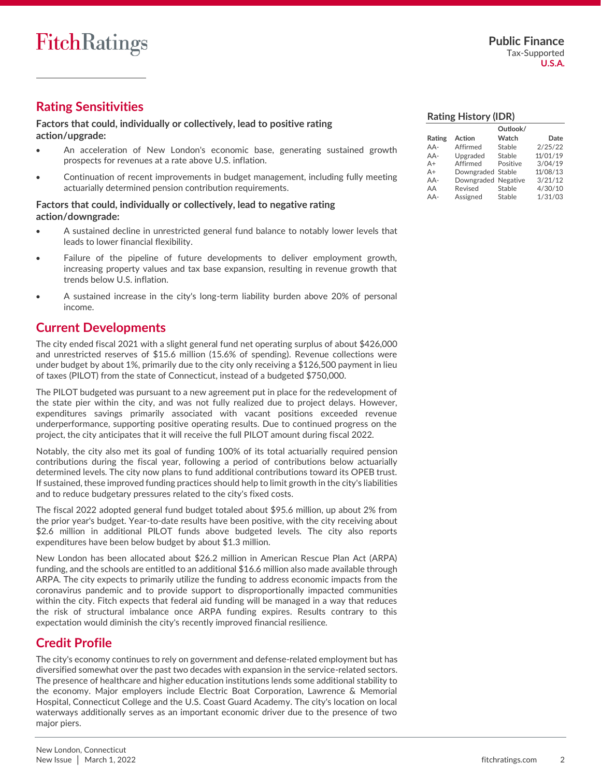# **Rating Sensitivities**

# **Factors that could, individually or collectively, lead to positive rating action/upgrade:**

- An acceleration of New London's economic base, generating sustained growth prospects for revenues at a rate above U.S. inflation.
- Continuation of recent improvements in budget management, including fully meeting actuarially determined pension contribution requirements.

# **Factors that could, individually or collectively, lead to negative rating action/downgrade:**

- A sustained decline in unrestricted general fund balance to notably lower levels that leads to lower financial flexibility.
- Failure of the pipeline of future developments to deliver employment growth, increasing property values and tax base expansion, resulting in revenue growth that trends below U.S. inflation.
- A sustained increase in the city's long-term liability burden above 20% of personal income.

# **Current Developments**

The city ended fiscal 2021 with a slight general fund net operating surplus of about \$426,000 and unrestricted reserves of \$15.6 million (15.6% of spending). Revenue collections were under budget by about 1%, primarily due to the city only receiving a \$126,500 payment in lieu of taxes (PILOT) from the state of Connecticut, instead of a budgeted \$750,000.

The PILOT budgeted was pursuant to a new agreement put in place for the redevelopment of the state pier within the city, and was not fully realized due to project delays. However, expenditures savings primarily associated with vacant positions exceeded revenue underperformance, supporting positive operating results. Due to continued progress on the project, the city anticipates that it will receive the full PILOT amount during fiscal 2022.

Notably, the city also met its goal of funding 100% of its total actuarially required pension contributions during the fiscal year, following a period of contributions below actuarially determined levels. The city now plans to fund additional contributions toward its OPEB trust. If sustained, these improved funding practices should help to limit growth in the city's liabilities and to reduce budgetary pressures related to the city's fixed costs.

The fiscal 2022 adopted general fund budget totaled about \$95.6 million, up about 2% from the prior year's budget. Year-to-date results have been positive, with the city receiving about \$2.6 million in additional PILOT funds above budgeted levels. The city also reports expenditures have been below budget by about \$1.3 million.

New London has been allocated about \$26.2 million in American Rescue Plan Act (ARPA) funding, and the schools are entitled to an additional \$16.6 million also made available through ARPA. The city expects to primarily utilize the funding to address economic impacts from the coronavirus pandemic and to provide support to disproportionally impacted communities within the city. Fitch expects that federal aid funding will be managed in a way that reduces the risk of structural imbalance once ARPA funding expires. Results contrary to this expectation would diminish the city's recently improved financial resilience.

# **Credit Profile**

The city's economy continues to rely on government and defense-related employment but has diversified somewhat over the past two decades with expansion in the service-related sectors. The presence of healthcare and higher education institutions lends some additional stability to the economy. Major employers include Electric Boat Corporation, Lawrence & Memorial Hospital, Connecticut College and the U.S. Coast Guard Academy. The city's location on local waterways additionally serves as an important economic driver due to the presence of two major piers.

|        |                     | Outlook/ |          |
|--------|---------------------|----------|----------|
| Rating | Action              | Watch    | Date     |
| AA-    | Affirmed            | Stable   | 2/25/22  |
| AA-    | Upgraded            | Stable   | 11/01/19 |
| $A+$   | Affirmed            | Positive | 3/04/19  |
| $A +$  | Downgraded Stable   |          | 11/08/13 |
| AA-    | Downgraded Negative |          | 3/21/12  |
| AA     | Revised             | Stable   | 4/30/10  |
| $AA-$  | Assigned            | Stable   | 1/31/03  |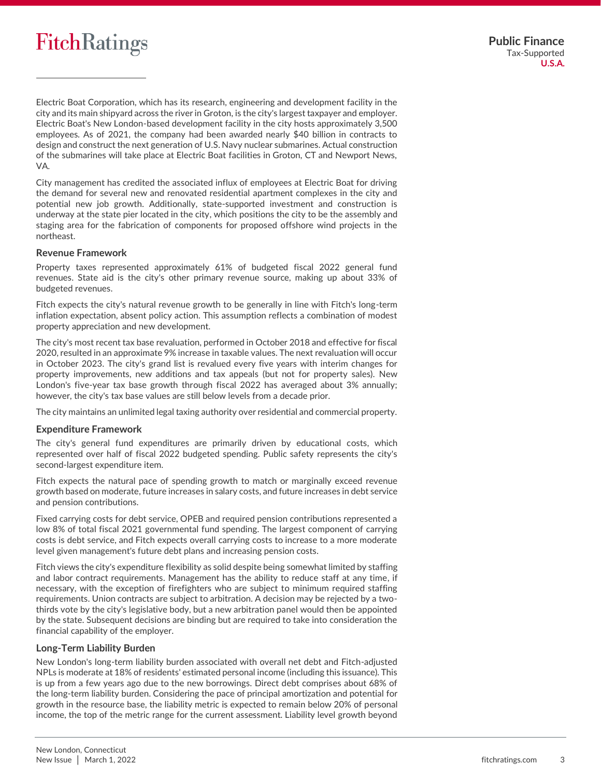# **FitchRatings**

Electric Boat Corporation, which has its research, engineering and development facility in the city and its main shipyard across the river in Groton, is the city's largest taxpayer and employer. Electric Boat's New London-based development facility in the city hosts approximately 3,500 employees. As of 2021, the company had been awarded nearly \$40 billion in contracts to design and construct the next generation of U.S. Navy nuclear submarines. Actual construction of the submarines will take place at Electric Boat facilities in Groton, CT and Newport News, VA.

City management has credited the associated influx of employees at Electric Boat for driving the demand for several new and renovated residential apartment complexes in the city and potential new job growth. Additionally, state-supported investment and construction is underway at the state pier located in the city, which positions the city to be the assembly and staging area for the fabrication of components for proposed offshore wind projects in the northeast.

# **Revenue Framework**

Property taxes represented approximately 61% of budgeted fiscal 2022 general fund revenues. State aid is the city's other primary revenue source, making up about 33% of budgeted revenues.

Fitch expects the city's natural revenue growth to be generally in line with Fitch's long-term inflation expectation, absent policy action. This assumption reflects a combination of modest property appreciation and new development.

The city's most recent tax base revaluation, performed in October 2018 and effective for fiscal 2020, resulted in an approximate 9% increase in taxable values. The next revaluation will occur in October 2023. The city's grand list is revalued every five years with interim changes for property improvements, new additions and tax appeals (but not for property sales). New London's five-year tax base growth through fiscal 2022 has averaged about 3% annually; however, the city's tax base values are still below levels from a decade prior.

The city maintains an unlimited legal taxing authority over residential and commercial property.

# **Expenditure Framework**

The city's general fund expenditures are primarily driven by educational costs, which represented over half of fiscal 2022 budgeted spending. Public safety represents the city's second-largest expenditure item.

Fitch expects the natural pace of spending growth to match or marginally exceed revenue growth based on moderate, future increases in salary costs, and future increases in debt service and pension contributions.

Fixed carrying costs for debt service, OPEB and required pension contributions represented a low 8% of total fiscal 2021 governmental fund spending. The largest component of carrying costs is debt service, and Fitch expects overall carrying costs to increase to a more moderate level given management's future debt plans and increasing pension costs.

Fitch views the city's expenditure flexibility as solid despite being somewhat limited by staffing and labor contract requirements. Management has the ability to reduce staff at any time, if necessary, with the exception of firefighters who are subject to minimum required staffing requirements. Union contracts are subject to arbitration. A decision may be rejected by a twothirds vote by the city's legislative body, but a new arbitration panel would then be appointed by the state. Subsequent decisions are binding but are required to take into consideration the financial capability of the employer.

# **Long-Term Liability Burden**

New London's long-term liability burden associated with overall net debt and Fitch-adjusted NPLs is moderate at 18% of residents' estimated personal income (including this issuance). This is up from a few years ago due to the new borrowings. Direct debt comprises about 68% of the long-term liability burden. Considering the pace of principal amortization and potential for growth in the resource base, the liability metric is expected to remain below 20% of personal income, the top of the metric range for the current assessment. Liability level growth beyond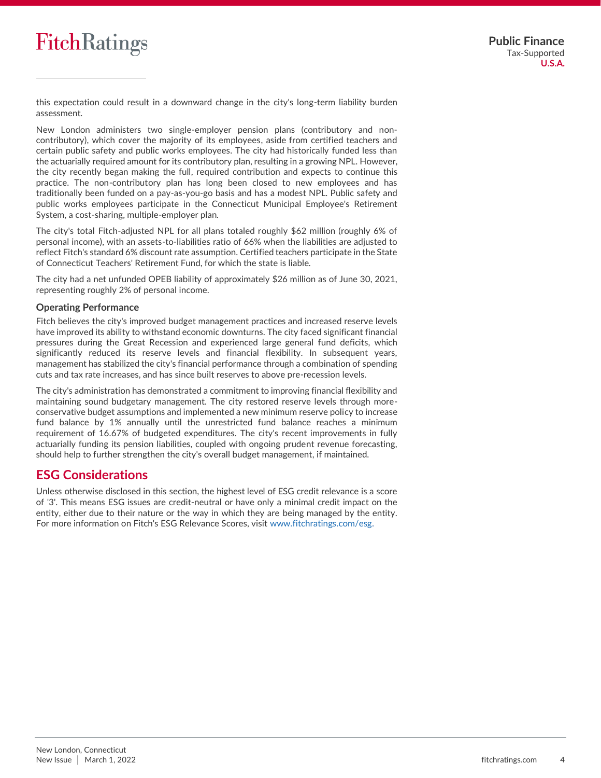# **FitchRatings**

this expectation could result in a downward change in the city's long-term liability burden assessment.

New London administers two single-employer pension plans (contributory and noncontributory), which cover the majority of its employees, aside from certified teachers and certain public safety and public works employees. The city had historically funded less than the actuarially required amount for its contributory plan, resulting in a growing NPL. However, the city recently began making the full, required contribution and expects to continue this practice. The non-contributory plan has long been closed to new employees and has traditionally been funded on a pay-as-you-go basis and has a modest NPL. Public safety and public works employees participate in the Connecticut Municipal Employee's Retirement System, a cost-sharing, multiple-employer plan.

The city's total Fitch-adjusted NPL for all plans totaled roughly \$62 million (roughly 6% of personal income), with an assets-to-liabilities ratio of 66% when the liabilities are adjusted to reflect Fitch's standard 6% discount rate assumption. Certified teachers participate in the State of Connecticut Teachers' Retirement Fund, for which the state is liable.

The city had a net unfunded OPEB liability of approximately \$26 million as of June 30, 2021, representing roughly 2% of personal income.

# **Operating Performance**

Fitch believes the city's improved budget management practices and increased reserve levels have improved its ability to withstand economic downturns. The city faced significant financial pressures during the Great Recession and experienced large general fund deficits, which significantly reduced its reserve levels and financial flexibility. In subsequent years, management has stabilized the city's financial performance through a combination of spending cuts and tax rate increases, and has since built reserves to above pre-recession levels.

The city's administration has demonstrated a commitment to improving financial flexibility and maintaining sound budgetary management. The city restored reserve levels through moreconservative budget assumptions and implemented a new minimum reserve policy to increase fund balance by 1% annually until the unrestricted fund balance reaches a minimum requirement of 16.67% of budgeted expenditures. The city's recent improvements in fully actuarially funding its pension liabilities, coupled with ongoing prudent revenue forecasting, should help to further strengthen the city's overall budget management, if maintained.

# **ESG Considerations**

Unless otherwise disclosed in this section, the highest level of ESG credit relevance is a score of '3'. This means ESG issues are credit-neutral or have only a minimal credit impact on the entity, either due to their nature or the way in which they are being managed by the entity. For more information on Fitch's ESG Relevance Scores, visit [www.fitchratings.com/esg.](http://www.fitchratings.com/esg)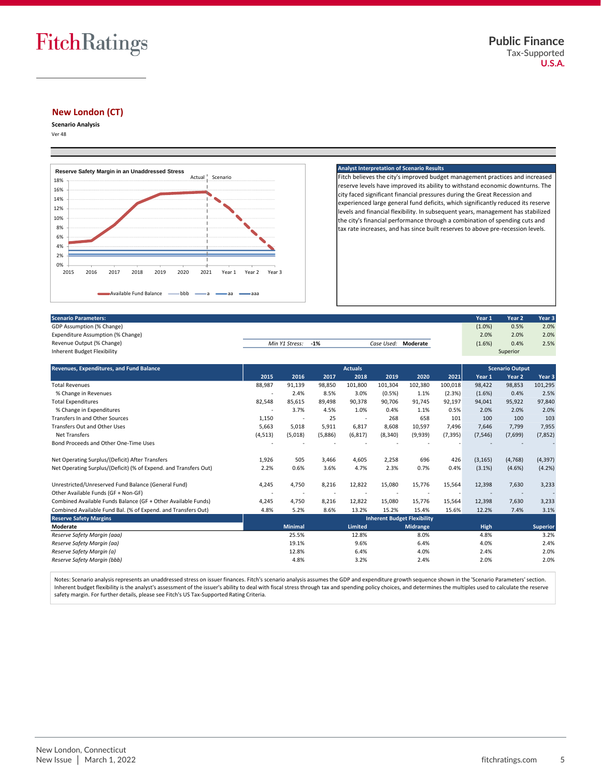

# **New London (CT)**

**Scenario Analysis**

Ver 48



#### **Analyst Interpretation of Scenario Results**

Fitch believes the city's improved budget management practices and increased reserve levels have improved its ability to withstand economic downturns. The city faced significant financial pressures during the Great Recession and experienced large general fund deficits, which significantly reduced its reserve levels and financial flexibility. In subsequent years, management has stabilized the city's financial performance through a combination of spending cuts and tax rate increases, and has since built reserves to above pre-recession levels.

| 0%<br>2015<br>2016<br>2018<br>2019<br>2020<br>2017<br>2021<br>Year 1<br>Available Fund Balance<br>$\longrightarrow$ bbb $\longrightarrow$ a $\longrightarrow$ aa $\longrightarrow$ aaa | Year 3<br>Year 2 |        |                     |           |                   |        |
|----------------------------------------------------------------------------------------------------------------------------------------------------------------------------------------|------------------|--------|---------------------|-----------|-------------------|--------|
| Scenario Parameters:                                                                                                                                                                   |                  |        |                     | Year 1    | Year <sub>2</sub> | Year 3 |
| GDP Assumption (% Change)                                                                                                                                                              |                  |        |                     | $(1.0\%)$ | 0.5%              | 2.0%   |
| Expenditure Assumption (% Change)                                                                                                                                                      |                  |        |                     | 2.0%      | 2.0%              | 2.0%   |
| Revenue Output (% Change)                                                                                                                                                              | Min Y1 Stress:   | $-1\%$ | Case Used: Moderate | (1.6%)    | 0.4%              | 2.5%   |
| Inherent Budget Flexibility                                                                                                                                                            |                  |        |                     |           | Superior          |        |
|                                                                                                                                                                                        |                  |        |                     |           |                   |        |

| Scenario Parameters:                                             |                |                                    |         |                        |            |          |          | Year 1      | Year 2            | Year 3          |
|------------------------------------------------------------------|----------------|------------------------------------|---------|------------------------|------------|----------|----------|-------------|-------------------|-----------------|
| GDP Assumption (% Change)                                        |                |                                    |         |                        |            |          |          | $(1.0\%)$   | 0.5%              | 2.0%            |
| Expenditure Assumption (% Change)                                |                |                                    |         |                        |            |          |          | 2.0%        | 2.0%              | 2.0%            |
| Revenue Output (% Change)                                        |                | Min Y1 Stress:                     | $-1%$   |                        | Case Used: | Moderate |          | (1.6%)      | 0.4%              | 2.5%            |
| <b>Inherent Budget Flexibility</b>                               |                |                                    |         |                        |            |          |          |             | Superior          |                 |
| <b>Revenues, Expenditures, and Fund Balance</b>                  | <b>Actuals</b> |                                    |         | <b>Scenario Output</b> |            |          |          |             |                   |                 |
|                                                                  | 2015           | 2016                               | 2017    | 2018                   | 2019       | 2020     | 2021     | Year 1      | Year <sub>2</sub> | Year 3          |
| <b>Total Revenues</b>                                            | 88,987         | 91,139                             | 98,850  | 101.800                | 101.304    | 102,380  | 100,018  | 98.422      | 98,853            | 101,295         |
| % Change in Revenues                                             |                | 2.4%                               | 8.5%    | 3.0%                   | (0.5%)     | 1.1%     | (2.3%)   | $(1.6\%)$   | 0.4%              | 2.5%            |
| <b>Total Expenditures</b>                                        | 82,548         | 85,615                             | 89,498  | 90,378                 | 90,706     | 91,745   | 92,197   | 94,041      | 95,922            | 97,840          |
| % Change in Expenditures                                         |                | 3.7%                               | 4.5%    | 1.0%                   | 0.4%       | 1.1%     | 0.5%     | 2.0%        | 2.0%              | 2.0%            |
| <b>Transfers In and Other Sources</b>                            | 1,150          | $\overline{\phantom{a}}$           | 25      | $\sim$                 | 268        | 658      | 101      | 100         | 100               | 103             |
| <b>Transfers Out and Other Uses</b>                              | 5,663          | 5,018                              | 5,911   | 6,817                  | 8,608      | 10,597   | 7,496    | 7,646       | 7,799             | 7,955           |
| <b>Net Transfers</b>                                             | (4,513)        | (5,018)                            | (5,886) | (6, 817)               | (8, 340)   | (9,939)  | (7, 395) | (7, 546)    | (7,699)           | (7, 852)        |
| Bond Proceeds and Other One-Time Uses                            |                |                                    |         |                        |            |          |          |             |                   |                 |
| Net Operating Surplus/(Deficit) After Transfers                  | 1,926          | 505                                | 3,466   | 4,605                  | 2,258      | 696      | 426      | (3, 165)    | (4,768)           | (4, 397)        |
| Net Operating Surplus/(Deficit) (% of Expend. and Transfers Out) | 2.2%           | 0.6%                               | 3.6%    | 4.7%                   | 2.3%       | 0.7%     | 0.4%     | $(3.1\%)$   | (4.6%)            | (4.2%)          |
| Unrestricted/Unreserved Fund Balance (General Fund)              | 4,245          | 4,750                              | 8,216   | 12,822                 | 15,080     | 15,776   | 15,564   | 12,398      | 7,630             | 3,233           |
| Other Available Funds (GF + Non-GF)                              |                |                                    |         |                        |            |          |          |             |                   |                 |
| Combined Available Funds Balance (GF + Other Available Funds)    | 4,245          | 4,750                              | 8,216   | 12,822                 | 15,080     | 15,776   | 15,564   | 12,398      | 7,630             | 3,233           |
| Combined Available Fund Bal. (% of Expend. and Transfers Out)    | 4.8%           | 5.2%                               | 8.6%    | 13.2%                  | 15.2%      | 15.4%    | 15.6%    | 12.2%       | 7.4%              | 3.1%            |
| <b>Reserve Safety Margins</b>                                    |                | <b>Inherent Budget Flexibility</b> |         |                        |            |          |          |             |                   |                 |
| Moderate                                                         |                | <b>Minimal</b>                     |         | Limited                |            | Midrange |          | <b>High</b> |                   | <b>Superior</b> |
| Reserve Safety Margin (aaa)                                      |                | 25.5%                              |         | 12.8%                  |            | 8.0%     |          | 4.8%        |                   | 3.2%            |
| Reserve Safety Margin (aa)                                       |                | 19.1%                              |         | 9.6%                   |            | 6.4%     |          | 4.0%        |                   | 2.4%            |
| Reserve Safety Margin (a)                                        |                | 12.8%                              |         | 6.4%                   |            | 4.0%     |          | 2.4%        |                   | 2.0%            |
| Reserve Safety Margin (bbb)                                      |                | 4.8%                               |         | 3.2%                   |            | 2.4%     |          | 2.0%        |                   | 2.0%            |
|                                                                  |                |                                    |         |                        |            |          |          |             |                   |                 |

Notes: Scenario analysis represents an unaddressed stress on issuer finances. Fitch's scenario analysis assumes the GDP and expenditure growth sequence shown in the 'Scenario Parameters' section. Inherent budget flexibility is the analyst's assessment of the issuer's ability to deal with fiscal stress through tax and spending policy choices, and determines the multiples used to calculate the reserve safety margin. For further details, please see Fitch's US Tax-Supported Rating Criteria.